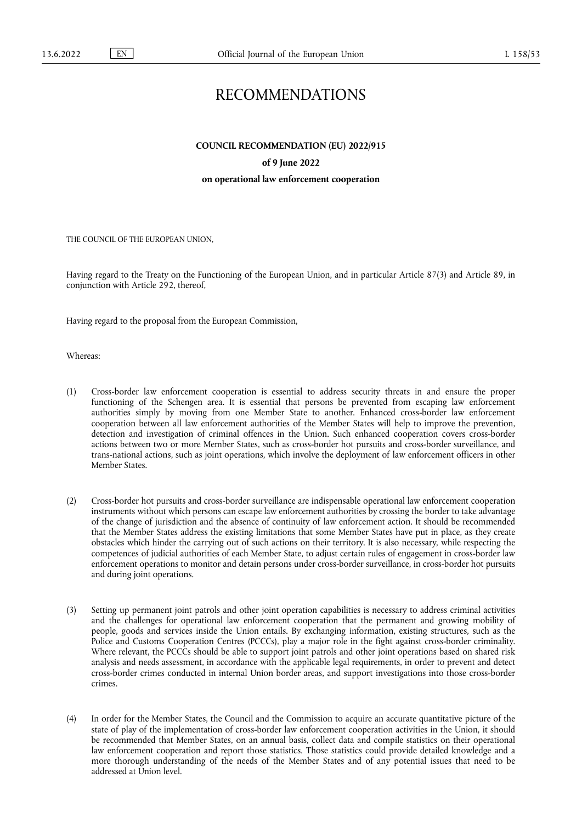# RECOMMENDATIONS

**COUNCIL RECOMMENDATION (EU) 2022/915** 

# **of 9 June 2022**

## **on operational law enforcement cooperation**

THE COUNCIL OF THE EUROPEAN UNION,

Having regard to the Treaty on the Functioning of the European Union, and in particular Article 87(3) and Article 89, in conjunction with Article 292, thereof,

Having regard to the proposal from the European Commission,

Whereas:

- (1) Cross-border law enforcement cooperation is essential to address security threats in and ensure the proper functioning of the Schengen area. It is essential that persons be prevented from escaping law enforcement authorities simply by moving from one Member State to another. Enhanced cross-border law enforcement cooperation between all law enforcement authorities of the Member States will help to improve the prevention, detection and investigation of criminal offences in the Union. Such enhanced cooperation covers cross-border actions between two or more Member States, such as cross-border hot pursuits and cross-border surveillance, and trans-national actions, such as joint operations, which involve the deployment of law enforcement officers in other Member States.
- (2) Cross-border hot pursuits and cross-border surveillance are indispensable operational law enforcement cooperation instruments without which persons can escape law enforcement authorities by crossing the border to take advantage of the change of jurisdiction and the absence of continuity of law enforcement action. It should be recommended that the Member States address the existing limitations that some Member States have put in place, as they create obstacles which hinder the carrying out of such actions on their territory. It is also necessary, while respecting the competences of judicial authorities of each Member State, to adjust certain rules of engagement in cross-border law enforcement operations to monitor and detain persons under cross-border surveillance, in cross-border hot pursuits and during joint operations.
- (3) Setting up permanent joint patrols and other joint operation capabilities is necessary to address criminal activities and the challenges for operational law enforcement cooperation that the permanent and growing mobility of people, goods and services inside the Union entails. By exchanging information, existing structures, such as the Police and Customs Cooperation Centres (PCCCs), play a major role in the fight against cross-border criminality. Where relevant, the PCCCs should be able to support joint patrols and other joint operations based on shared risk analysis and needs assessment, in accordance with the applicable legal requirements, in order to prevent and detect cross-border crimes conducted in internal Union border areas, and support investigations into those cross-border crimes.
- (4) In order for the Member States, the Council and the Commission to acquire an accurate quantitative picture of the state of play of the implementation of cross-border law enforcement cooperation activities in the Union, it should be recommended that Member States, on an annual basis, collect data and compile statistics on their operational law enforcement cooperation and report those statistics. Those statistics could provide detailed knowledge and a more thorough understanding of the needs of the Member States and of any potential issues that need to be addressed at Union level.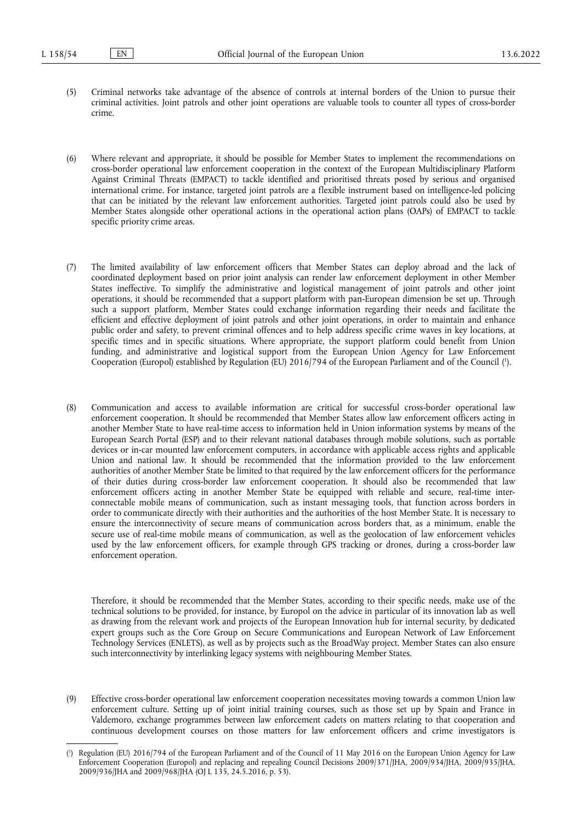- (5) Criminal networks take advantage of the absence of controls at internal borders of the Union to pursue their criminal activities. Joint patrols and other joint operations are valuable tools to counter all types of cross-border crime.
- (6) Where relevant and appropriate, it should be possible for Member States to implement the recommendations on cross-border operational law enforcement cooperation in the context of the European Multidisciplinary Platform Against Criminal Threats (EMPACT) to tackle identified and prioritised threats posed by serious and organised international crime. For instance, targeted joint patrols are a flexible instrument based on intelligence-led policing that can be initiated by the relevant law enforcement authorities. Targeted joint patrols could also be used by Member States alongside other operational actions in the operational action plans (OAPs) of EMPACT to tackle specific priority crime areas.
- (7) The limited availability of law enforcement officers that Member States can deploy abroad and the lack of coordinated deployment based on prior joint analysis can render law enforcement deployment in other Member States ineffective. To simplify the administrative and logistical management of joint patrols and other joint operations, it should be recommended that a support platform with pan-European dimension be set up. Through such a support platform, Member States could exchange information regarding their needs and facilitate the efficient and effective deployment of joint patrols and other joint operations, in order to maintain and enhance public order and safety, to prevent criminal offences and to help address specific crime waves in key locations, at specific times and in specific situations. Where appropriate, the support platform could benefit from Union funding, and administrative and logistical support from the European Union Agency for Law Enforcement Cooperation (Europol) established by Regulation (EU) 2016/794 of the European Parliament and of the Council [\(](#page-1-0) 1 ).
- <span id="page-1-1"></span>(8) Communication and access to available information are critical for successful cross-border operational law enforcement cooperation. It should be recommended that Member States allow law enforcement officers acting in another Member State to have real-time access to information held in Union information systems by means of the European Search Portal (ESP) and to their relevant national databases through mobile solutions, such as portable devices or in-car mounted law enforcement computers, in accordance with applicable access rights and applicable Union and national law. It should be recommended that the information provided to the law enforcement authorities of another Member State be limited to that required by the law enforcement officers for the performance of their duties during cross-border law enforcement cooperation. It should also be recommended that law enforcement officers acting in another Member State be equipped with reliable and secure, real-time interconnectable mobile means of communication, such as instant messaging tools, that function across borders in order to communicate directly with their authorities and the authorities of the host Member State. It is necessary to ensure the interconnectivity of secure means of communication across borders that, as a minimum, enable the secure use of real-time mobile means of communication, as well as the geolocation of law enforcement vehicles used by the law enforcement officers, for example through GPS tracking or drones, during a cross-border law enforcement operation.

Therefore, it should be recommended that the Member States, according to their specific needs, make use of the technical solutions to be provided, for instance, by Europol on the advice in particular of its innovation lab as well as drawing from the relevant work and projects of the European Innovation hub for internal security, by dedicated expert groups such as the Core Group on Secure Communications and European Network of Law Enforcement Technology Services (ENLETS), as well as by projects such as the BroadWay project. Member States can also ensure such interconnectivity by interlinking legacy systems with neighbouring Member States.

(9) Effective cross-border operational law enforcement cooperation necessitates moving towards a common Union law enforcement culture. Setting up of joint initial training courses, such as those set up by Spain and France in Valdemoro, exchange programmes between law enforcement cadets on matters relating to that cooperation and continuous development courses on those matters for law enforcement officers and crime investigators is

<span id="page-1-0"></span>[<sup>\(</sup>](#page-1-1) 1 ) Regulation (EU) 2016/794 of the European Parliament and of the Council of 11 May 2016 on the European Union Agency for Law Enforcement Cooperation (Europol) and replacing and repealing Council Decisions 2009/371/JHA, 2009/934/JHA, 2009/935/JHA, 2009/936/JHA and 2009/968/JHA (OJ L 135, 24.5.2016, p. 53).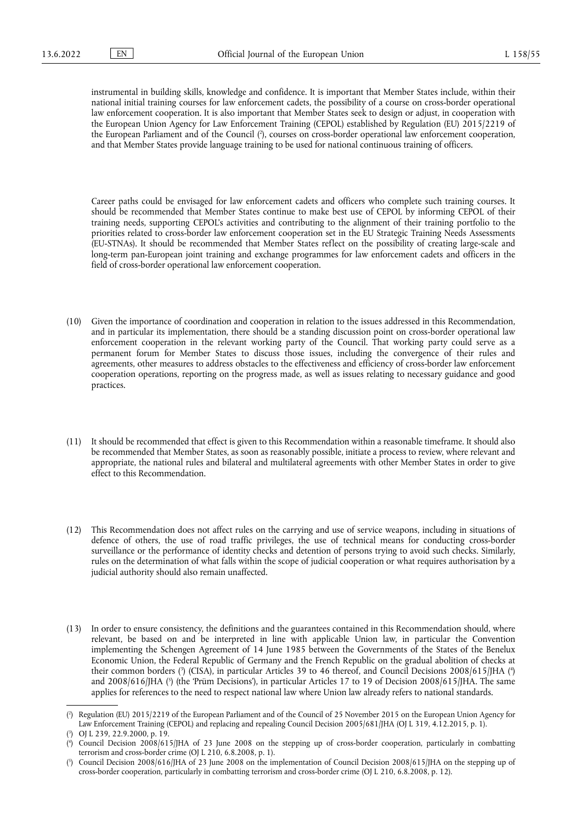<span id="page-2-4"></span>instrumental in building skills, knowledge and confidence. It is important that Member States include, within their national initial training courses for law enforcement cadets, the possibility of a course on cross-border operational law enforcement cooperation. It is also important that Member States seek to design or adjust, in cooperation with the European Union Agency for Law Enforcement Training (CEPOL) established by Regulation (EU) 2015/2219 of the European Parliament and of the Council ( 2 [\),](#page-2-0) courses on cross-border operational law enforcement cooperation, and that Member States provide language training to be used for national continuous training of officers.

Career paths could be envisaged for law enforcement cadets and officers who complete such training courses. It should be recommended that Member States continue to make best use of CEPOL by informing CEPOL of their training needs, supporting CEPOL's activities and contributing to the alignment of their training portfolio to the priorities related to cross-border law enforcement cooperation set in the EU Strategic Training Needs Assessments (EU-STNAs). It should be recommended that Member States reflect on the possibility of creating large-scale and long-term pan-European joint training and exchange programmes for law enforcement cadets and officers in the field of cross-border operational law enforcement cooperation.

- (10) Given the importance of coordination and cooperation in relation to the issues addressed in this Recommendation, and in particular its implementation, there should be a standing discussion point on cross-border operational law enforcement cooperation in the relevant working party of the Council. That working party could serve as a permanent forum for Member States to discuss those issues, including the convergence of their rules and agreements, other measures to address obstacles to the effectiveness and efficiency of cross-border law enforcement cooperation operations, reporting on the progress made, as well as issues relating to necessary guidance and good practices.
- (11) It should be recommended that effect is given to this Recommendation within a reasonable timeframe. It should also be recommended that Member States, as soon as reasonably possible, initiate a process to review, where relevant and appropriate, the national rules and bilateral and multilateral agreements with other Member States in order to give effect to this Recommendation.
- (12) This Recommendation does not affect rules on the carrying and use of service weapons, including in situations of defence of others, the use of road traffic privileges, the use of technical means for conducting cross-border surveillance or the performance of identity checks and detention of persons trying to avoid such checks. Similarly, rules on the determination of what falls within the scope of judicial cooperation or what requires authorisation by a judicial authority should also remain unaffected.
- <span id="page-2-5"></span>(13) In order to ensure consistency, the definitions and the guarantees contained in this Recommendation should, where relevant, be based on and be interpreted in line with applicable Union law, in particular the Convention implementing the Schengen Agreement of 14 June 1985 between the Governments of the States of the Benelux Economic Union, the Federal Republic of Germany and the French Republic on the gradual abolition of checks at their common borders [\(](#page-2-2)?) (CISA), in particular Articles 39 to 46 thereof, and Council Decisions 2008/615/JHA (\*) and 2008/616/JHA [\(](#page-2-3)<sup>s</sup>) (the 'Prüm Decisions'), in particular Articles 17 to 19 of Decision 2008/615/JHA. The same applies for references to the need to respect national law where Union law already refers to national standards.

<span id="page-2-6"></span><span id="page-2-0"></span>[<sup>\(</sup>](#page-2-4) 2 ) Regulation (EU) 2015/2219 of the European Parliament and of the Council of 25 November 2015 on the European Union Agency for Law Enforcement Training (CEPOL) and replacing and repealing Council Decision 2005/681/JHA (OJ L 319, 4.12.2015, p. 1).

<span id="page-2-1"></span>[<sup>\(</sup>](#page-2-5) 3 ) OJ L 239, 22.9.2000, p. 19.

<span id="page-2-2"></span>[<sup>\(</sup>](#page-2-5) 4 ) Council Decision 2008/615/JHA of 23 June 2008 on the stepping up of cross-border cooperation, particularly in combatting terrorism and cross-border crime (OJ L 210, 6.8.2008, p. 1).

<span id="page-2-3"></span>[<sup>\(</sup>](#page-2-6) 5 ) Council Decision 2008/616/JHA of 23 June 2008 on the implementation of Council Decision 2008/615/JHA on the stepping up of cross-border cooperation, particularly in combatting terrorism and cross-border crime (OJ L 210, 6.8.2008, p. 12).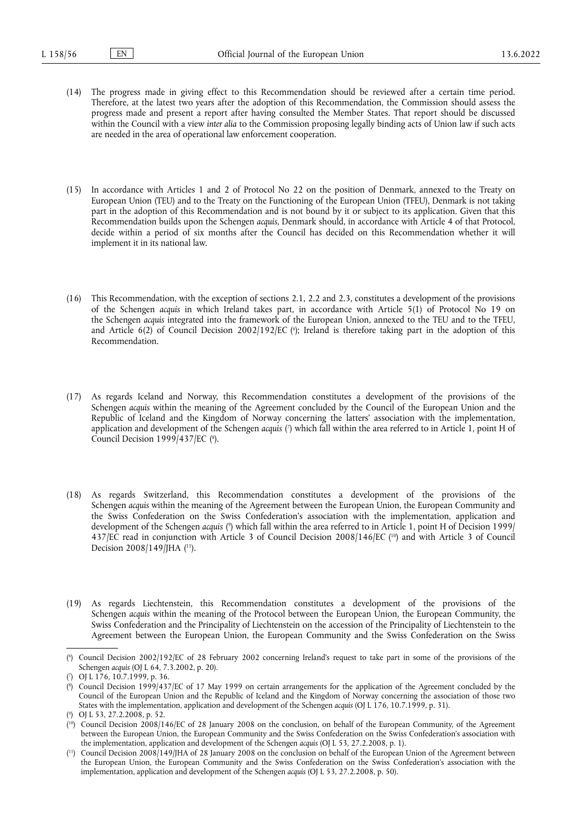- (14) The progress made in giving effect to this Recommendation should be reviewed after a certain time period. Therefore, at the latest two years after the adoption of this Recommendation, the Commission should assess the progress made and present a report after having consulted the Member States. That report should be discussed within the Council with a view *inter alia* to the Commission proposing legally binding acts of Union law if such acts are needed in the area of operational law enforcement cooperation.
- (15) In accordance with Articles 1 and 2 of Protocol No 22 on the position of Denmark, annexed to the Treaty on European Union (TEU) and to the Treaty on the Functioning of the European Union (TFEU), Denmark is not taking part in the adoption of this Recommendation and is not bound by it or subject to its application. Given that this Recommendation builds upon the Schengen *acquis*, Denmark should, in accordance with Article 4 of that Protocol, decide within a period of six months after the Council has decided on this Recommendation whether it will implement it in its national law.
- <span id="page-3-6"></span>(16) This Recommendation, with the exception of sections 2.1, 2.2 and 2.3, constitutes a development of the provisions of the Schengen *acquis* in which Ireland takes part, in accordance with Article 5(1) of Protocol No 19 on the Schengen *acquis* integrated into the framework of the European Union, annexed to the TEU and to the TFEU, and Article 6(2) of Council Decision 2002/192/EC (6[\);](#page-3-0) Ireland is therefore taking part in the adoption of this Recommendation.
- <span id="page-3-8"></span><span id="page-3-7"></span>(17) As regards Iceland and Norway, this Recommendation constitutes a development of the provisions of the Schengen *acquis* within the meaning of the Agreement concluded by the Council of the European Union and the Republic of Iceland and the Kingdom of Norway concerning the latters' association with the implementation, application and development of the Schengen *acquis [\(](#page-3-1)*') which fall within the area referred to in Article 1, point H of Council Decision 1999/437/EC (8[\).](#page-3-2)
- <span id="page-3-11"></span><span id="page-3-10"></span><span id="page-3-9"></span>(18) As regards Switzerland, this Recommendation constitutes a development of the provisions of the Schengen *acquis* within the meaning of the Agreement between the European Union, the European Community and the Swiss Confederation on the Swiss Confederation's association with the implementation, application and development of the Schengen *acquis* [\(](#page-3-3)°) which fall within the area referred to in Article 1, point H of Decision 1999/ 437/EC read in conjunction with Article 3 of Council Decision 2008/146/EC ( [10\)](#page-3-4) and with Article 3 of Council Decision 2008/149/JHA ([11\)](#page-3-5).
- (19) As regards Liechtenstein, this Recommendation constitutes a development of the provisions of the Schengen *acquis* within the meaning of the Protocol between the European Union, the European Community, the Swiss Confederation and the Principality of Liechtenstein on the accession of the Principality of Liechtenstein to the Agreement between the European Union, the European Community and the Swiss Confederation on the Swiss

<span id="page-3-0"></span>[<sup>\(</sup>](#page-3-6) 6 ) Council Decision 2002/192/EC of 28 February 2002 concerning Ireland's request to take part in some of the provisions of the Schengen *acquis* (OJ L 64, 7.3.2002, p. 20).

<span id="page-3-1"></span>[<sup>\(</sup>](#page-3-7) 7 ) OJ L 176, 10.7.1999, p. 36.

<span id="page-3-2"></span>[<sup>\(</sup>](#page-3-8) 8 ) Council Decision 1999/437/EC of 17 May 1999 on certain arrangements for the application of the Agreement concluded by the Council of the European Union and the Republic of Iceland and the Kingdom of Norway concerning the association of those two States with the implementation, application and development of the Schengen *acquis* (OJ L 176, 10.7.1999, p. 31).

<span id="page-3-3"></span>[<sup>\(</sup>](#page-3-9) 9 ) OJ L 53, 27.2.2008, p. 52.

<span id="page-3-4"></span><sup>(</sup> [10\)](#page-3-10) Council Decision 2008/146/EC of 28 January 2008 on the conclusion, on behalf of the European Community, of the Agreement between the European Union, the European Community and the Swiss Confederation on the Swiss Confederation's association with the implementation, application and development of the Schengen *acquis* (OJ L 53, 27.2.2008, p. 1).

<span id="page-3-5"></span><sup>(</sup> [11\)](#page-3-11) Council Decision 2008/149/JHA of 28 January 2008 on the conclusion on behalf of the European Union of the Agreement between the European Union, the European Community and the Swiss Confederation on the Swiss Confederation's association with the implementation, application and development of the Schengen *acquis* (OJ L 53, 27.2.2008, p. 50).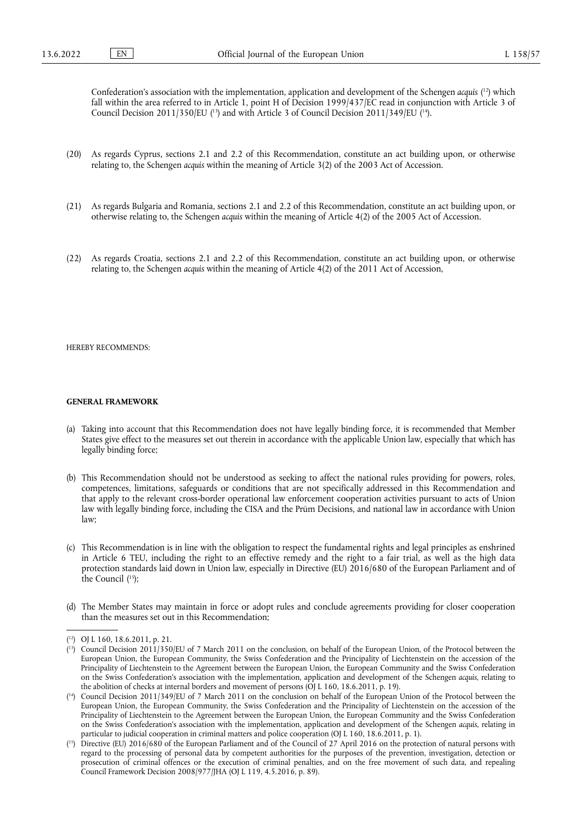<span id="page-4-5"></span><span id="page-4-4"></span>Confederation's association with the implementation, application and development of the Schengen *acquis* ( [12\)](#page-4-0) which fall within the area referred to in Article 1, point H of Decision 1999/437/EC read in conjunction with Article 3 of Council Decision 2011/350/EU ( $\text{ }^{13}$ ) and with Article 3 of Council Decision 2011/349/EU ( $\text{ }^{14}$ ).

- (20) As regards Cyprus, sections 2.1 and 2.2 of this Recommendation, constitute an act building upon, or otherwise relating to, the Schengen *acquis* within the meaning of Article 3(2) of the 2003 Act of Accession.
- (21) As regards Bulgaria and Romania, sections 2.1 and 2.2 of this Recommendation, constitute an act building upon, or otherwise relating to, the Schengen *acquis* within the meaning of Article 4(2) of the 2005 Act of Accession.
- (22) As regards Croatia, sections 2.1 and 2.2 of this Recommendation, constitute an act building upon, or otherwise relating to, the Schengen *acquis* within the meaning of Article 4(2) of the 2011 Act of Accession,

HEREBY RECOMMENDS:

# **GENERAL FRAMEWORK**

- (a) Taking into account that this Recommendation does not have legally binding force, it is recommended that Member States give effect to the measures set out therein in accordance with the applicable Union law, especially that which has legally binding force;
- (b) This Recommendation should not be understood as seeking to affect the national rules providing for powers, roles, competences, limitations, safeguards or conditions that are not specifically addressed in this Recommendation and that apply to the relevant cross-border operational law enforcement cooperation activities pursuant to acts of Union law with legally binding force, including the CISA and the Prüm Decisions, and national law in accordance with Union law;
- <span id="page-4-6"></span>(c) This Recommendation is in line with the obligation to respect the fundamental rights and legal principles as enshrined in Article 6 TEU, including the right to an effective remedy and the right to a fair trial, as well as the high data protection standards laid down in Union law, especially in Directive (EU) 2016/680 of the European Parliament and of the Council ( [15\);](#page-4-3)
- (d) The Member States may maintain in force or adopt rules and conclude agreements providing for closer cooperation than the measures set out in this Recommendation;

<span id="page-4-0"></span><sup>(</sup> [12\)](#page-4-4) OJ L 160, 18.6.2011, p. 21.

<span id="page-4-1"></span><sup>(</sup> [13\)](#page-4-5) Council Decision 2011/350/EU of 7 March 2011 on the conclusion, on behalf of the European Union, of the Protocol between the European Union, the European Community, the Swiss Confederation and the Principality of Liechtenstein on the accession of the Principality of Liechtenstein to the Agreement between the European Union, the European Community and the Swiss Confederation on the Swiss Confederation's association with the implementation, application and development of the Schengen *acquis*, relating to the abolition of checks at internal borders and movement of persons (OJ L 160, 18.6.2011, p. 19).

<span id="page-4-2"></span><sup>(</sup> [14\)](#page-4-5) Council Decision 2011/349/EU of 7 March 2011 on the conclusion on behalf of the European Union of the Protocol between the European Union, the European Community, the Swiss Confederation and the Principality of Liechtenstein on the accession of the Principality of Liechtenstein to the Agreement between the European Union, the European Community and the Swiss Confederation on the Swiss Confederation's association with the implementation, application and development of the Schengen *acquis*, relating in particular to judicial cooperation in criminal matters and police cooperation (OJ L 160, 18.6.2011, p. 1).

<span id="page-4-3"></span><sup>(</sup> [15\)](#page-4-6) Directive (EU) 2016/680 of the European Parliament and of the Council of 27 April 2016 on the protection of natural persons with regard to the processing of personal data by competent authorities for the purposes of the prevention, investigation, detection or prosecution of criminal offences or the execution of criminal penalties, and on the free movement of such data, and repealing Council Framework Decision 2008/977/JHA (OJ L 119, 4.5.2016, p. 89).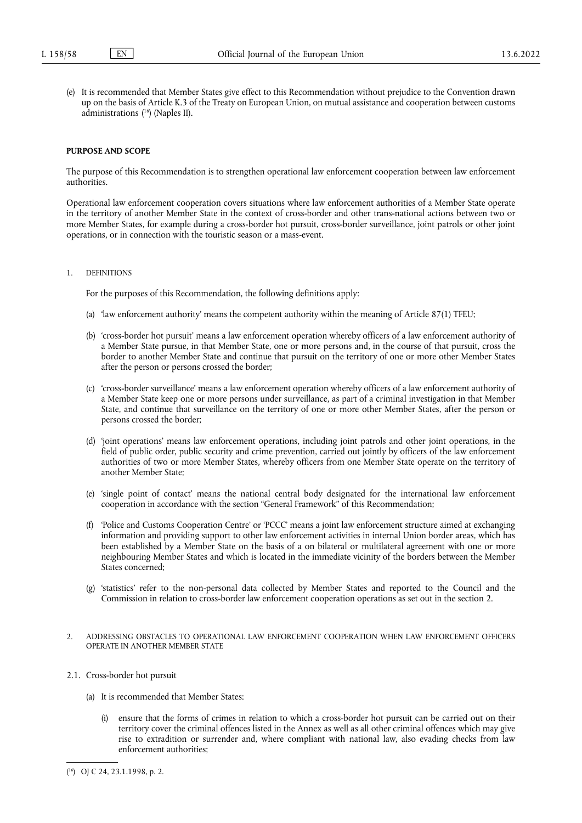<span id="page-5-1"></span>(e) It is recommended that Member States give effect to this Recommendation without prejudice to the Convention drawn up on the basis of Article K.3 of the Treaty on European Union, on mutual assistance and cooperation between customs administrations ( [16\)](#page-5-0) (Naples II).

### **PURPOSE AND SCOPE**

The purpose of this Recommendation is to strengthen operational law enforcement cooperation between law enforcement authorities.

Operational law enforcement cooperation covers situations where law enforcement authorities of a Member State operate in the territory of another Member State in the context of cross-border and other trans-national actions between two or more Member States, for example during a cross-border hot pursuit, cross-border surveillance, joint patrols or other joint operations, or in connection with the touristic season or a mass-event.

# 1. DEFINITIONS

For the purposes of this Recommendation, the following definitions apply:

- (a) 'law enforcement authority' means the competent authority within the meaning of Article 87(1) TFEU;
- (b) 'cross-border hot pursuit' means a law enforcement operation whereby officers of a law enforcement authority of a Member State pursue, in that Member State, one or more persons and, in the course of that pursuit, cross the border to another Member State and continue that pursuit on the territory of one or more other Member States after the person or persons crossed the border;
- (c) 'cross-border surveillance' means a law enforcement operation whereby officers of a law enforcement authority of a Member State keep one or more persons under surveillance, as part of a criminal investigation in that Member State, and continue that surveillance on the territory of one or more other Member States, after the person or persons crossed the border;
- (d) 'joint operations' means law enforcement operations, including joint patrols and other joint operations, in the field of public order, public security and crime prevention, carried out jointly by officers of the law enforcement authorities of two or more Member States, whereby officers from one Member State operate on the territory of another Member State;
- (e) 'single point of contact' means the national central body designated for the international law enforcement cooperation in accordance with the section "General Framework" of this Recommendation;
- (f) 'Police and Customs Cooperation Centre' or 'PCCC' means a joint law enforcement structure aimed at exchanging information and providing support to other law enforcement activities in internal Union border areas, which has been established by a Member State on the basis of a on bilateral or multilateral agreement with one or more neighbouring Member States and which is located in the immediate vicinity of the borders between the Member States concerned;
- (g) 'statistics' refer to the non-personal data collected by Member States and reported to the Council and the Commission in relation to cross-border law enforcement cooperation operations as set out in the section 2.
- 2. ADDRESSING OBSTACLES TO OPERATIONAL LAW ENFORCEMENT COOPERATION WHEN LAW ENFORCEMENT OFFICERS OPERATE IN ANOTHER MEMBER STATE
- 2.1. Cross-border hot pursuit
	- (a) It is recommended that Member States:
		- (i) ensure that the forms of crimes in relation to which a cross-border hot pursuit can be carried out on their territory cover the criminal offences listed in the Annex as well as all other criminal offences which may give rise to extradition or surrender and, where compliant with national law, also evading checks from law enforcement authorities;

<span id="page-5-0"></span><sup>(</sup> [16\)](#page-5-1) OJ C 24, 23.1.1998, p. 2.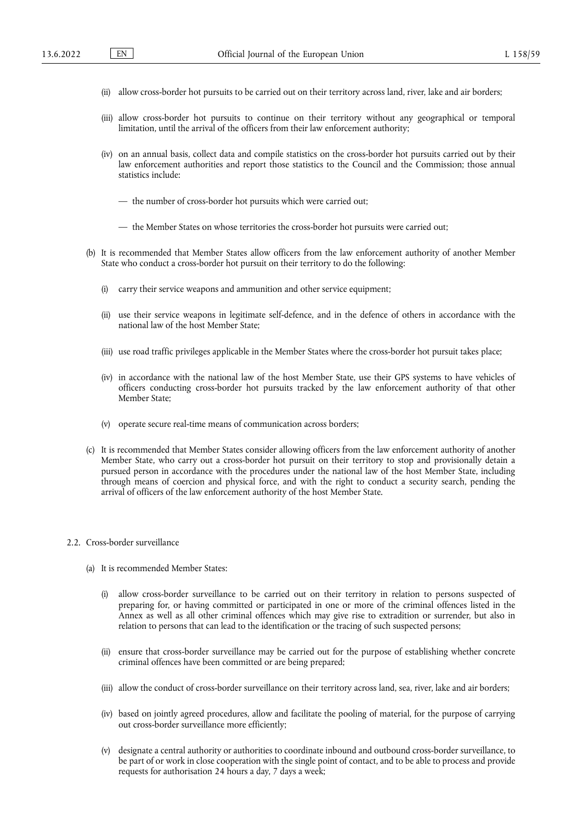- (ii) allow cross-border hot pursuits to be carried out on their territory across land, river, lake and air borders;
- (iii) allow cross-border hot pursuits to continue on their territory without any geographical or temporal limitation, until the arrival of the officers from their law enforcement authority;
- (iv) on an annual basis, collect data and compile statistics on the cross-border hot pursuits carried out by their law enforcement authorities and report those statistics to the Council and the Commission; those annual statistics include:
	- the number of cross-border hot pursuits which were carried out;
	- the Member States on whose territories the cross-border hot pursuits were carried out;
- (b) It is recommended that Member States allow officers from the law enforcement authority of another Member State who conduct a cross-border hot pursuit on their territory to do the following:
	- (i) carry their service weapons and ammunition and other service equipment;
	- (ii) use their service weapons in legitimate self-defence, and in the defence of others in accordance with the national law of the host Member State;
	- (iii) use road traffic privileges applicable in the Member States where the cross-border hot pursuit takes place;
	- (iv) in accordance with the national law of the host Member State, use their GPS systems to have vehicles of officers conducting cross-border hot pursuits tracked by the law enforcement authority of that other Member State;
	- (v) operate secure real-time means of communication across borders;
- (c) It is recommended that Member States consider allowing officers from the law enforcement authority of another Member State, who carry out a cross-border hot pursuit on their territory to stop and provisionally detain a pursued person in accordance with the procedures under the national law of the host Member State, including through means of coercion and physical force, and with the right to conduct a security search, pending the arrival of officers of the law enforcement authority of the host Member State.

## 2.2. Cross-border surveillance

- (a) It is recommended Member States:
	- (i) allow cross-border surveillance to be carried out on their territory in relation to persons suspected of preparing for, or having committed or participated in one or more of the criminal offences listed in the Annex as well as all other criminal offences which may give rise to extradition or surrender, but also in relation to persons that can lead to the identification or the tracing of such suspected persons;
	- (ii) ensure that cross-border surveillance may be carried out for the purpose of establishing whether concrete criminal offences have been committed or are being prepared;
	- (iii) allow the conduct of cross-border surveillance on their territory across land, sea, river, lake and air borders;
	- (iv) based on jointly agreed procedures, allow and facilitate the pooling of material, for the purpose of carrying out cross-border surveillance more efficiently;
	- (v) designate a central authority or authorities to coordinate inbound and outbound cross-border surveillance, to be part of or work in close cooperation with the single point of contact, and to be able to process and provide requests for authorisation 24 hours a day, 7 days a week;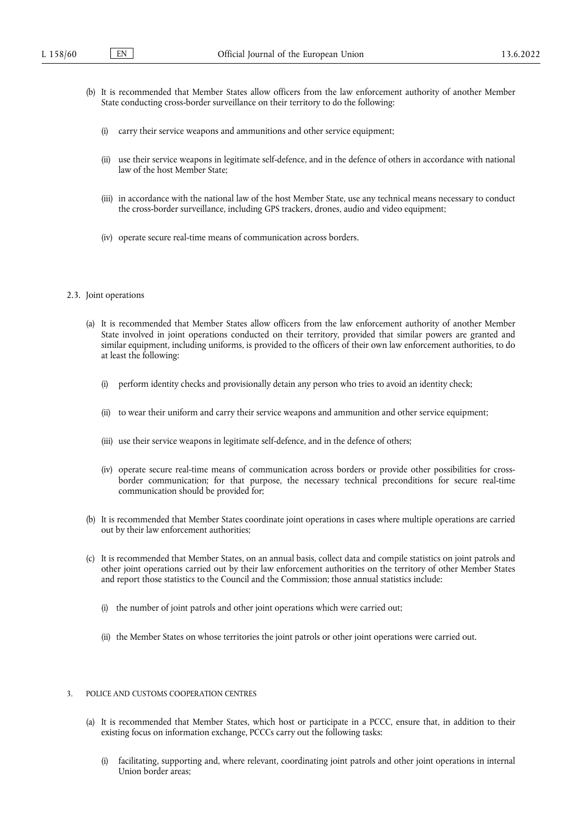- (b) It is recommended that Member States allow officers from the law enforcement authority of another Member State conducting cross-border surveillance on their territory to do the following:
	- (i) carry their service weapons and ammunitions and other service equipment;
	- (ii) use their service weapons in legitimate self-defence, and in the defence of others in accordance with national law of the host Member State;
	- (iii) in accordance with the national law of the host Member State, use any technical means necessary to conduct the cross-border surveillance, including GPS trackers, drones, audio and video equipment;
	- (iv) operate secure real-time means of communication across borders.

#### 2.3. Joint operations

- (a) It is recommended that Member States allow officers from the law enforcement authority of another Member State involved in joint operations conducted on their territory, provided that similar powers are granted and similar equipment, including uniforms, is provided to the officers of their own law enforcement authorities, to do at least the following:
	- (i) perform identity checks and provisionally detain any person who tries to avoid an identity check;
	- (ii) to wear their uniform and carry their service weapons and ammunition and other service equipment;
	- (iii) use their service weapons in legitimate self-defence, and in the defence of others;
	- (iv) operate secure real-time means of communication across borders or provide other possibilities for crossborder communication; for that purpose, the necessary technical preconditions for secure real-time communication should be provided for;
- (b) It is recommended that Member States coordinate joint operations in cases where multiple operations are carried out by their law enforcement authorities;
- (c) It is recommended that Member States, on an annual basis, collect data and compile statistics on joint patrols and other joint operations carried out by their law enforcement authorities on the territory of other Member States and report those statistics to the Council and the Commission; those annual statistics include:
	- (i) the number of joint patrols and other joint operations which were carried out;
	- (ii) the Member States on whose territories the joint patrols or other joint operations were carried out.

# 3. POLICE AND CUSTOMS COOPERATION CENTRES

- (a) It is recommended that Member States, which host or participate in a PCCC, ensure that, in addition to their existing focus on information exchange, PCCCs carry out the following tasks:
	- (i) facilitating, supporting and, where relevant, coordinating joint patrols and other joint operations in internal Union border areas;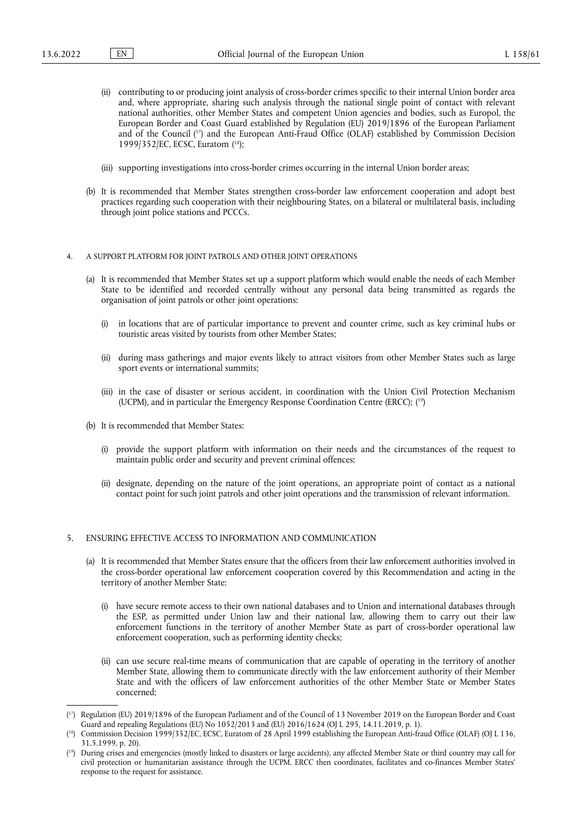- (ii) contributing to or producing joint analysis of cross-border crimes specific to their internal Union border area and, where appropriate, sharing such analysis through the national single point of contact with relevant national authorities, other Member States and competent Union agencies and bodies, such as Europol, the European Border and Coast Guard established by Regulation (EU) 2019/1896 of the European Parliament and of the Council ( [17\)](#page-8-0) and the European Anti-Fraud Office (OLAF) established by Commission Decision 1999/352/EC, ECSC, Euratom ( [18\);](#page-8-1)
- <span id="page-8-4"></span><span id="page-8-3"></span>(iii) supporting investigations into cross-border crimes occurring in the internal Union border areas;
- (b) It is recommended that Member States strengthen cross-border law enforcement cooperation and adopt best practices regarding such cooperation with their neighbouring States, on a bilateral or multilateral basis, including through joint police stations and PCCCs.

### 4. A SUPPORT PLATFORM FOR JOINT PATROLS AND OTHER JOINT OPERATIONS

- (a) It is recommended that Member States set up a support platform which would enable the needs of each Member State to be identified and recorded centrally without any personal data being transmitted as regards the organisation of joint patrols or other joint operations:
	- (i) in locations that are of particular importance to prevent and counter crime, such as key criminal hubs or touristic areas visited by tourists from other Member States;
	- (ii) during mass gatherings and major events likely to attract visitors from other Member States such as large sport events or international summits;
	- (iii) in the case of disaster or serious accident, in coordination with the Union Civil Protection Mechanism (UCPM), and in particular the Emergency Response Coordination Centre (ERCC); ( [19\)](#page-8-2)
- <span id="page-8-5"></span>(b) It is recommended that Member States:
	- (i) provide the support platform with information on their needs and the circumstances of the request to maintain public order and security and prevent criminal offences;
	- (ii) designate, depending on the nature of the joint operations, an appropriate point of contact as a national contact point for such joint patrols and other joint operations and the transmission of relevant information.

## 5. ENSURING EFFECTIVE ACCESS TO INFORMATION AND COMMUNICATION

- (a) It is recommended that Member States ensure that the officers from their law enforcement authorities involved in the cross-border operational law enforcement cooperation covered by this Recommendation and acting in the territory of another Member State:
	- (i) have secure remote access to their own national databases and to Union and international databases through the ESP, as permitted under Union law and their national law, allowing them to carry out their law enforcement functions in the territory of another Member State as part of cross-border operational law enforcement cooperation, such as performing identity checks;
	- (ii) can use secure real-time means of communication that are capable of operating in the territory of another Member State, allowing them to communicate directly with the law enforcement authority of their Member State and with the officers of law enforcement authorities of the other Member State or Member States concerned;

<span id="page-8-0"></span><sup>(</sup> [17\)](#page-8-3) Regulation (EU) 2019/1896 of the European Parliament and of the Council of 13 November 2019 on the European Border and Coast Guard and repealing Regulations (EU) No 1052/2013 and (EU) 2016/1624 (OJ L 295, 14.11.2019, p. 1).

<span id="page-8-1"></span><sup>(</sup> [18\)](#page-8-4) Commission Decision 1999/352/EC, ECSC, Euratom of 28 April 1999 establishing the European Anti-fraud Office (OLAF) (OJ L 136, 31.5.1999, p. 20).

<span id="page-8-2"></span><sup>(</sup> [19\)](#page-8-5) During crises and emergencies (mostly linked to disasters or large accidents), any affected Member State or third country may call for civil protection or humanitarian assistance through the UCPM. ERCC then coordinates, facilitates and co-finances Member States' response to the request for assistance.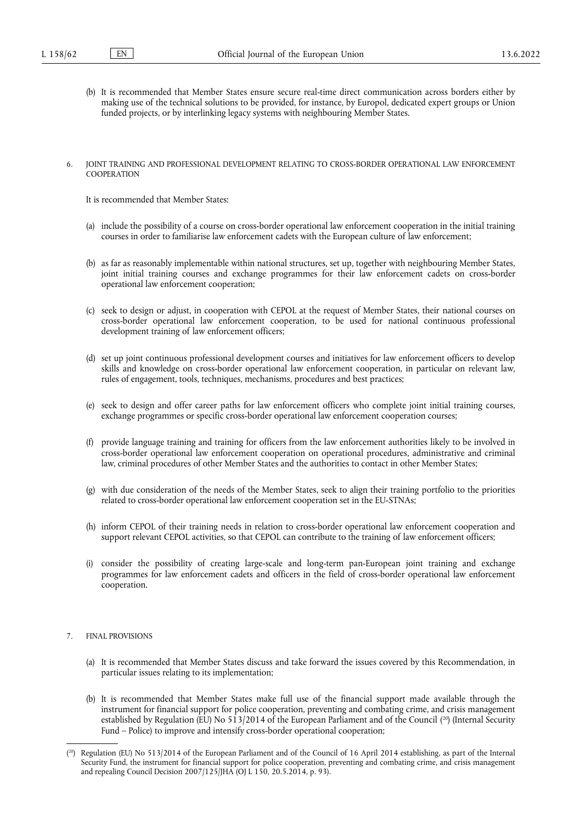- (b) It is recommended that Member States ensure secure real-time direct communication across borders either by making use of the technical solutions to be provided, for instance, by Europol, dedicated expert groups or Union funded projects, or by interlinking legacy systems with neighbouring Member States.
- 6. JOINT TRAINING AND PROFESSIONAL DEVELOPMENT RELATING TO CROSS-BORDER OPERATIONAL LAW ENFORCEMENT **COOPERATION**

It is recommended that Member States:

- (a) include the possibility of a course on cross-border operational law enforcement cooperation in the initial training courses in order to familiarise law enforcement cadets with the European culture of law enforcement;
- (b) as far as reasonably implementable within national structures, set up, together with neighbouring Member States, joint initial training courses and exchange programmes for their law enforcement cadets on cross-border operational law enforcement cooperation;
- (c) seek to design or adjust, in cooperation with CEPOL at the request of Member States, their national courses on cross-border operational law enforcement cooperation, to be used for national continuous professional development training of law enforcement officers;
- (d) set up joint continuous professional development courses and initiatives for law enforcement officers to develop skills and knowledge on cross-border operational law enforcement cooperation, in particular on relevant law, rules of engagement, tools, techniques, mechanisms, procedures and best practices;
- (e) seek to design and offer career paths for law enforcement officers who complete joint initial training courses, exchange programmes or specific cross-border operational law enforcement cooperation courses;
- (f) provide language training and training for officers from the law enforcement authorities likely to be involved in cross-border operational law enforcement cooperation on operational procedures, administrative and criminal law, criminal procedures of other Member States and the authorities to contact in other Member States;
- (g) with due consideration of the needs of the Member States, seek to align their training portfolio to the priorities related to cross-border operational law enforcement cooperation set in the EU-STNAs;
- (h) inform CEPOL of their training needs in relation to cross-border operational law enforcement cooperation and support relevant CEPOL activities, so that CEPOL can contribute to the training of law enforcement officers;
- (i) consider the possibility of creating large-scale and long-term pan-European joint training and exchange programmes for law enforcement cadets and officers in the field of cross-border operational law enforcement cooperation.

# 7. FINAL PROVISIONS

- (a) It is recommended that Member States discuss and take forward the issues covered by this Recommendation, in particular issues relating to its implementation;
- <span id="page-9-1"></span>(b) It is recommended that Member States make full use of the financial support made available through the instrument for financial support for police cooperation, preventing and combating crime, and crisis management established by Regulation (EU) No 513/2014 of the European Parliament and of the Council (<sup>20</sup>) (Internal Security Fund – Police) to improve and intensify cross-border operational cooperation;

<span id="page-9-0"></span><sup>(</sup> [20\)](#page-9-1) Regulation (EU) No 513/2014 of the European Parliament and of the Council of 16 April 2014 establishing, as part of the Internal Security Fund, the instrument for financial support for police cooperation, preventing and combating crime, and crisis management and repealing Council Decision 2007/125/JHA (OJ L 150, 20.5.2014, p. 93).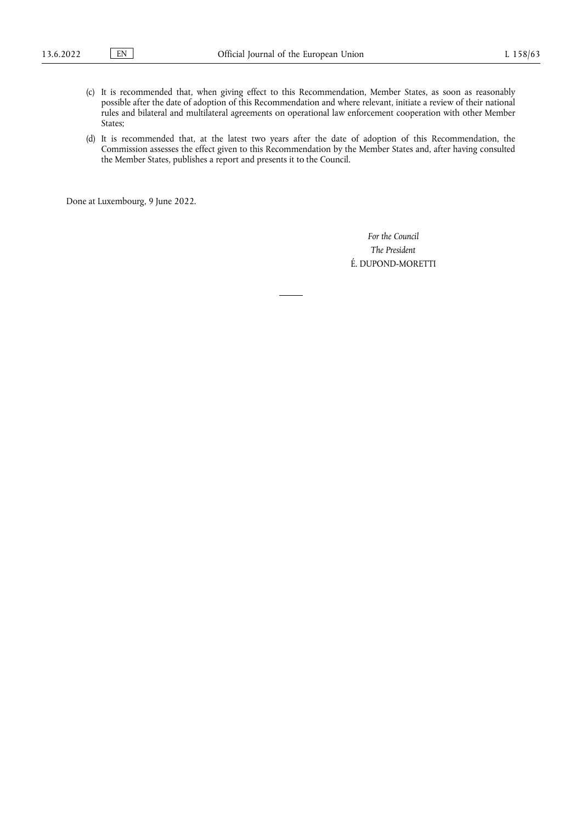- (c) It is recommended that, when giving effect to this Recommendation, Member States, as soon as reasonably possible after the date of adoption of this Recommendation and where relevant, initiate a review of their national rules and bilateral and multilateral agreements on operational law enforcement cooperation with other Member States;
- (d) It is recommended that, at the latest two years after the date of adoption of this Recommendation, the Commission assesses the effect given to this Recommendation by the Member States and, after having consulted the Member States, publishes a report and presents it to the Council.

Done at Luxembourg, 9 June 2022.

*For the Council The President* É. DUPOND-MORETTI